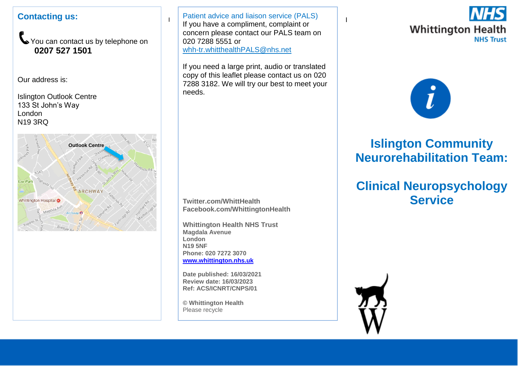## **Contacting us:**

You can contact us by telephone on **0207 527 1501**

Our address is:

Islington Outlook Centre 133 St John's Way London N19 3RQ



I If you have a compliment, complaint or  $\begin{bmatrix} 1 & x \\ y & z \end{bmatrix}$ Patient advice and liaison service (PALS) concern please contact our PALS team on 020 7288 5551 or [whh-tr.whitthealthPALS@nhs.net](mailto:whh-tr.whitthealthPALS@nhs.net)

If you need a large print, audio or translated copy of this leaflet please contact us on 020 7288 3182. We will try our best to meet your needs.

**Twitter.com/WhittHealth Facebook.com/WhittingtonHealth**

**Whittington Health NHS Trust Magdala Avenue London N19 5NF Phone: 020 7272 3070 [www.whittington.nhs.uk](http://www.whittington.nhs.uk/)**

**Date published: 16/03/2021 Review date: 16/03/2023 Ref: ACS/ICNRT/CNPS/01**

**© Whittington Health** Please recycle





# **Islington Community Neurorehabilitation Team:**

# **Clinical Neuropsychology Service**